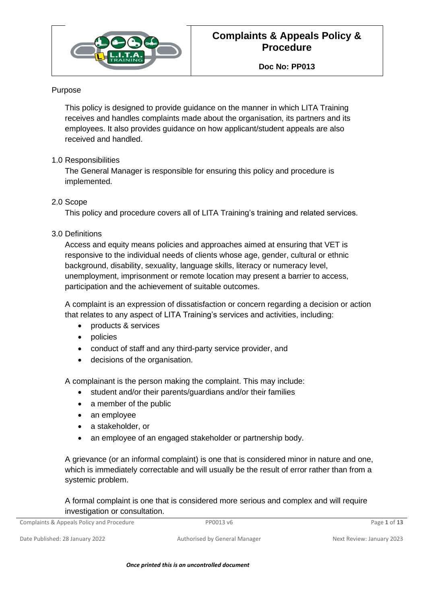

**Doc No: PP013**

#### Purpose

This policy is designed to provide guidance on the manner in which LITA Training receives and handles complaints made about the organisation, its partners and its employees. It also provides guidance on how applicant/student appeals are also received and handled.

#### 1.0 Responsibilities

The General Manager is responsible for ensuring this policy and procedure is implemented.

#### 2.0 Scope

This policy and procedure covers all of LITA Training's training and related services.

#### 3.0 Definitions

Access and equity means policies and approaches aimed at ensuring that VET is responsive to the individual needs of clients whose age, gender, cultural or ethnic background, disability, sexuality, language skills, literacy or numeracy level, unemployment, imprisonment or remote location may present a barrier to access, participation and the achievement of suitable outcomes.

A complaint is an expression of dissatisfaction or concern regarding a decision or action that relates to any aspect of LITA Training's services and activities, including:

- products & services
- policies
- conduct of staff and any third-party service provider, and
- decisions of the organisation.

A complainant is the person making the complaint. This may include:

- student and/or their parents/guardians and/or their families
- a member of the public
- an employee
- a stakeholder, or
- an employee of an engaged stakeholder or partnership body.

A grievance (or an informal complaint) is one that is considered minor in nature and one, which is immediately correctable and will usually be the result of error rather than from a systemic problem.

A formal complaint is one that is considered more serious and complex and will require investigation or consultation.

| Complaints & Appeals Policy and Procedure | PP0013 v6 | Page 1 of 13 |
|-------------------------------------------|-----------|--------------|
|                                           |           |              |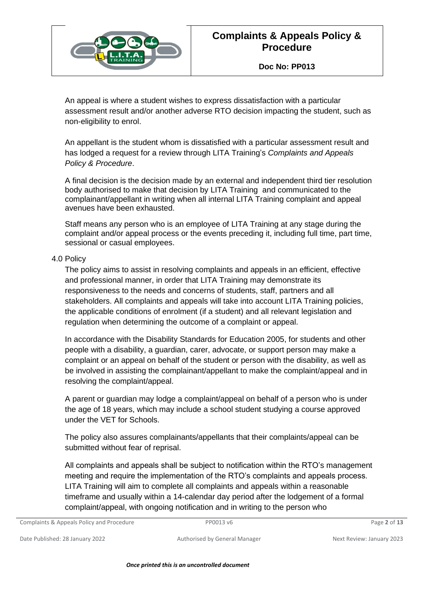

An appeal is where a student wishes to express dissatisfaction with a particular assessment result and/or another adverse RTO decision impacting the student, such as non-eligibility to enrol.

An appellant is the student whom is dissatisfied with a particular assessment result and has lodged a request for a review through LITA Training's *Complaints and Appeals Policy & Procedure*.

A final decision is the decision made by an external and independent third tier resolution body authorised to make that decision by LITA Training and communicated to the complainant/appellant in writing when all internal LITA Training complaint and appeal avenues have been exhausted.

Staff means any person who is an employee of LITA Training at any stage during the complaint and/or appeal process or the events preceding it, including full time, part time, sessional or casual employees.

#### 4.0 Policy

The policy aims to assist in resolving complaints and appeals in an efficient, effective and professional manner, in order that LITA Training may demonstrate its responsiveness to the needs and concerns of students, staff, partners and all stakeholders. All complaints and appeals will take into account LITA Training policies, the applicable conditions of enrolment (if a student) and all relevant legislation and regulation when determining the outcome of a complaint or appeal.

In accordance with the Disability Standards for Education 2005, for students and other people with a disability, a guardian, carer, advocate, or support person may make a complaint or an appeal on behalf of the student or person with the disability, as well as be involved in assisting the complainant/appellant to make the complaint/appeal and in resolving the complaint/appeal.

A parent or guardian may lodge a complaint/appeal on behalf of a person who is under the age of 18 years, which may include a school student studying a course approved under the VET for Schools.

The policy also assures complainants/appellants that their complaints/appeal can be submitted without fear of reprisal.

All complaints and appeals shall be subject to notification within the RTO's management meeting and require the implementation of the RTO's complaints and appeals process. LITA Training will aim to complete all complaints and appeals within a reasonable timeframe and usually within a 14-calendar day period after the lodgement of a formal complaint/appeal, with ongoing notification and in writing to the person who

Complaints & Appeals Policy and Procedure **PP0013 v6** Page **2** of **13** Page **2** of **13**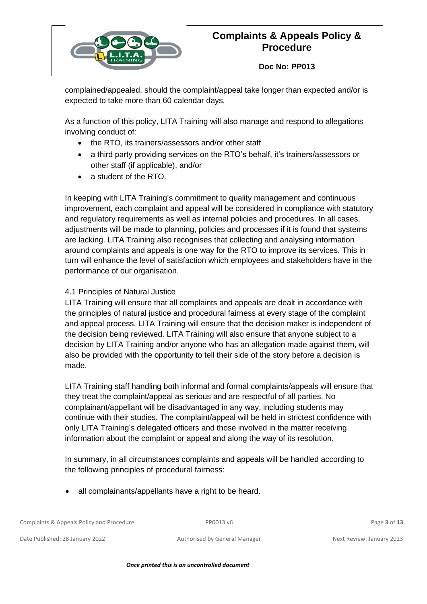

#### **Doc No: PP013**

complained/appealed, should the complaint/appeal take longer than expected and/or is expected to take more than 60 calendar days.

As a function of this policy, LITA Training will also manage and respond to allegations involving conduct of:

- the RTO, its trainers/assessors and/or other staff
- a third party providing services on the RTO's behalf, it's trainers/assessors or other staff (if applicable), and/or
- a student of the RTO.

In keeping with LITA Training's commitment to quality management and continuous improvement, each complaint and appeal will be considered in compliance with statutory and regulatory requirements as well as internal policies and procedures. In all cases, adjustments will be made to planning, policies and processes if it is found that systems are lacking. LITA Training also recognises that collecting and analysing information around complaints and appeals is one way for the RTO to improve its services. This in turn will enhance the level of satisfaction which employees and stakeholders have in the performance of our organisation.

### 4.1 Principles of Natural Justice

LITA Training will ensure that all complaints and appeals are dealt in accordance with the principles of natural justice and procedural fairness at every stage of the complaint and appeal process. LITA Training will ensure that the decision maker is independent of the decision being reviewed. LITA Training will also ensure that anyone subject to a decision by LITA Training and/or anyone who has an allegation made against them, will also be provided with the opportunity to tell their side of the story before a decision is made.

LITA Training staff handling both informal and formal complaints/appeals will ensure that they treat the complaint/appeal as serious and are respectful of all parties. No complainant/appellant will be disadvantaged in any way, including students may continue with their studies. The complaint/appeal will be held in strictest confidence with only LITA Training's delegated officers and those involved in the matter receiving information about the complaint or appeal and along the way of its resolution.

In summary, in all circumstances complaints and appeals will be handled according to the following principles of procedural fairness:

• all complainants/appellants have a right to be heard.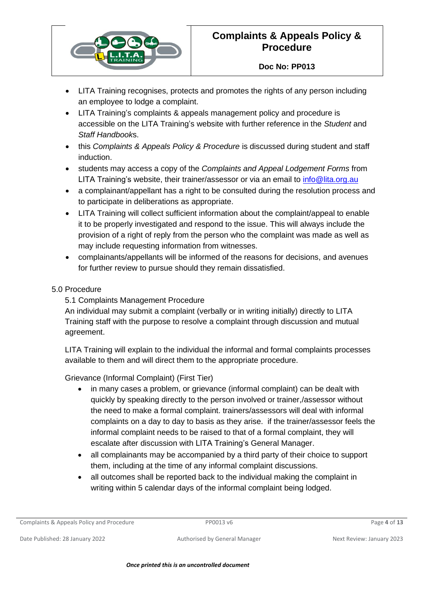

#### **Doc No: PP013**

- LITA Training recognises, protects and promotes the rights of any person including an employee to lodge a complaint.
- LITA Training's complaints & appeals management policy and procedure is accessible on the LITA Training's website with further reference in the *Student* and *Staff Handbook*s.
- this *Complaints & Appeals Policy & Procedure* is discussed during student and staff induction.
- students may access a copy of the *Complaints and Appeal Lodgement Forms* from LITA Training's website, their trainer/assessor or via an email to *info@lita.org.au*
- a complainant/appellant has a right to be consulted during the resolution process and to participate in deliberations as appropriate.
- LITA Training will collect sufficient information about the complaint/appeal to enable it to be properly investigated and respond to the issue. This will always include the provision of a right of reply from the person who the complaint was made as well as may include requesting information from witnesses.
- complainants/appellants will be informed of the reasons for decisions, and avenues for further review to pursue should they remain dissatisfied.

#### 5.0 Procedure

#### 5.1 Complaints Management Procedure

An individual may submit a complaint (verbally or in writing initially) directly to LITA Training staff with the purpose to resolve a complaint through discussion and mutual agreement.

LITA Training will explain to the individual the informal and formal complaints processes available to them and will direct them to the appropriate procedure.

Grievance (Informal Complaint) (First Tier)

- in many cases a problem, or grievance (informal complaint) can be dealt with quickly by speaking directly to the person involved or trainer,/assessor without the need to make a formal complaint. trainers/assessors will deal with informal complaints on a day to day to basis as they arise. if the trainer/assessor feels the informal complaint needs to be raised to that of a formal complaint, they will escalate after discussion with LITA Training's General Manager.
- all complainants may be accompanied by a third party of their choice to support them, including at the time of any informal complaint discussions.
- all outcomes shall be reported back to the individual making the complaint in writing within 5 calendar days of the informal complaint being lodged.

Complaints & Appeals Policy and Procedure **PP0013** v6 Page 4 of **13** Page 4 of **13**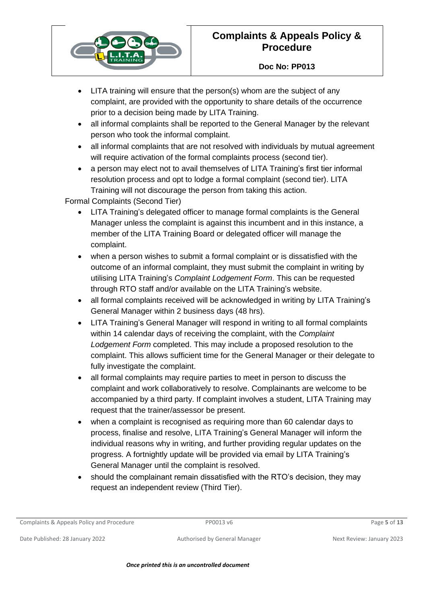

#### **Doc No: PP013**

- LITA training will ensure that the person(s) whom are the subject of any complaint, are provided with the opportunity to share details of the occurrence prior to a decision being made by LITA Training.
- all informal complaints shall be reported to the General Manager by the relevant person who took the informal complaint.
- all informal complaints that are not resolved with individuals by mutual agreement will require activation of the formal complaints process (second tier).
- a person may elect not to avail themselves of LITA Training's first tier informal resolution process and opt to lodge a formal complaint (second tier). LITA Training will not discourage the person from taking this action.

Formal Complaints (Second Tier)

- LITA Training's delegated officer to manage formal complaints is the General Manager unless the complaint is against this incumbent and in this instance, a member of the LITA Training Board or delegated officer will manage the complaint.
- when a person wishes to submit a formal complaint or is dissatisfied with the outcome of an informal complaint, they must submit the complaint in writing by utilising LITA Training's *Complaint Lodgement Form*. This can be requested through RTO staff and/or available on the LITA Training's website.
- all formal complaints received will be acknowledged in writing by LITA Training's General Manager within 2 business days (48 hrs).
- LITA Training's General Manager will respond in writing to all formal complaints within 14 calendar days of receiving the complaint, with the *Complaint Lodgement Form* completed. This may include a proposed resolution to the complaint. This allows sufficient time for the General Manager or their delegate to fully investigate the complaint.
- all formal complaints may require parties to meet in person to discuss the complaint and work collaboratively to resolve. Complainants are welcome to be accompanied by a third party. If complaint involves a student, LITA Training may request that the trainer/assessor be present.
- when a complaint is recognised as requiring more than 60 calendar days to process, finalise and resolve, LITA Training's General Manager will inform the individual reasons why in writing, and further providing regular updates on the progress. A fortnightly update will be provided via email by LITA Training's General Manager until the complaint is resolved.
- should the complainant remain dissatisfied with the RTO's decision, they may request an independent review (Third Tier).

Complaints & Appeals Policy and Procedure **PP0013** v6 Page 5 of 13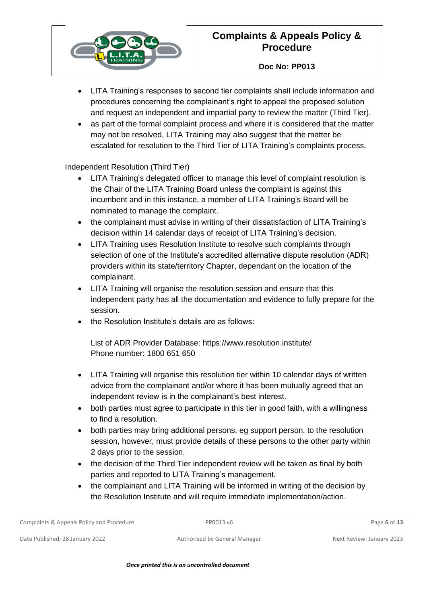

### **Doc No: PP013**

- LITA Training's responses to second tier complaints shall include information and procedures concerning the complainant's right to appeal the proposed solution and request an independent and impartial party to review the matter (Third Tier).
- as part of the formal complaint process and where it is considered that the matter may not be resolved, LITA Training may also suggest that the matter be escalated for resolution to the Third Tier of LITA Training's complaints process.

Independent Resolution (Third Tier)

- LITA Training's delegated officer to manage this level of complaint resolution is the Chair of the LITA Training Board unless the complaint is against this incumbent and in this instance, a member of LITA Training's Board will be nominated to manage the complaint.
- the complainant must advise in writing of their dissatisfaction of LITA Training's decision within 14 calendar days of receipt of LITA Training's decision.
- LITA Training uses Resolution Institute to resolve such complaints through selection of one of the Institute's accredited alternative dispute resolution (ADR) providers within its state/territory Chapter, dependant on the location of the complainant.
- LITA Training will organise the resolution session and ensure that this independent party has all the documentation and evidence to fully prepare for the session.
- the Resolution Institute's details are as follows:

List of ADR Provider Database:<https://www.resolution.institute/> Phone number: 1800 651 650

- LITA Training will organise this resolution tier within 10 calendar days of written advice from the complainant and/or where it has been mutually agreed that an independent review is in the complainant's best interest.
- both parties must agree to participate in this tier in good faith, with a willingness to find a resolution.
- both parties may bring additional persons, eg support person, to the resolution session, however, must provide details of these persons to the other party within 2 days prior to the session.
- the decision of the Third Tier independent review will be taken as final by both parties and reported to LITA Training's management.
- the complainant and LITA Training will be informed in writing of the decision by the Resolution Institute and will require immediate implementation/action.

Complaints & Appeals Policy and Procedure **PP0013** v6 Page 6 of 13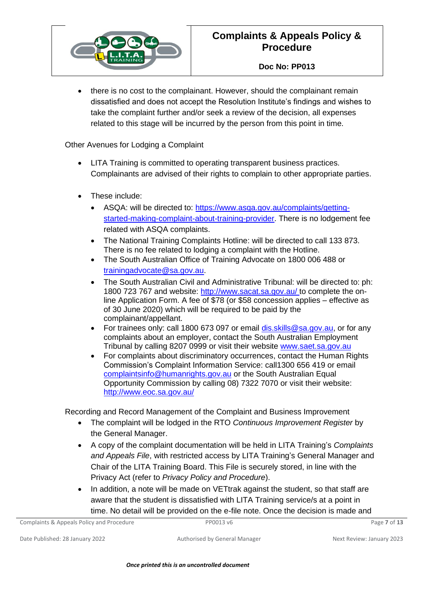

• there is no cost to the complainant. However, should the complainant remain dissatisfied and does not accept the Resolution Institute's findings and wishes to take the complaint further and/or seek a review of the decision, all expenses related to this stage will be incurred by the person from this point in time.

Other Avenues for Lodging a Complaint

- LITA Training is committed to operating transparent business practices. Complainants are advised of their rights to complain to other appropriate parties.
- These include:
	- ASQA: will be directed to: [https://www.asqa.gov.au/complaints/getting](https://www.asqa.gov.au/complaints/getting-started-making-complaint-about-training-provider)[started-making-complaint-about-training-provider.](https://www.asqa.gov.au/complaints/getting-started-making-complaint-about-training-provider) There is no lodgement fee related with ASQA complaints.
	- The [National Training Complaints Hotline:](https://www.education.gov.au/national-training-complaints-hotline-1) will be directed to call 133 873. There is no fee related to lodging a complaint with the Hotline.
	- The South Australian Office of Training Advocate on 1800 006 488 or [trainingadvocate@sa.gov.au.](mailto:trainingadvocate@sa.gov.au)
	- The South Australian Civil and Administrative Tribunal: will be directed to: ph: 1800 723 767 and website:<http://www.sacat.sa.gov.au/> to complete the online Application Form. A fee of \$78 (or \$58 concession applies – effective as of 30 June 2020) which will be required to be paid by the complainant/appellant.
	- For trainees only: call 1800 673 097 or email [dis.skills@sa.gov.au,](mailto:dis.skills@sa.gov.au) or for any complaints about an employer, contact the South Australian Employment Tribunal by calling 8207 0999 or visit their website [www.saet.sa.gov.au](http://www.saet.sa.gov.au/)
	- For complaints about discriminatory occurrences, contact the Human Rights Commission's Complaint Information Service: call1300 656 419 or email [complaintsinfo@humanrights.gov.au](mailto:complaintsinfo@humanrights.gov.au) or the South Australian Equal Opportunity Commission by calling 08) 7322 7070 or visit their website: <http://www.eoc.sa.gov.au/>

Recording and Record Management of the Complaint and Business Improvement

- The complaint will be lodged in the RTO *Continuous Improvement Register* by the General Manager.
- A copy of the complaint documentation will be held in LITA Training's *Complaints and Appeals File*, with restricted access by LITA Training's General Manager and Chair of the LITA Training Board. This File is securely stored, in line with the Privacy Act (refer to *Privacy Policy and Procedure*).
- In addition, a note will be made on VETtrak against the student, so that staff are aware that the student is dissatisfied with LITA Training service/s at a point in time. No detail will be provided on the e-file note. Once the decision is made and

Complaints & Appeals Policy and Procedure PP0013 v6 Page **7** of **13**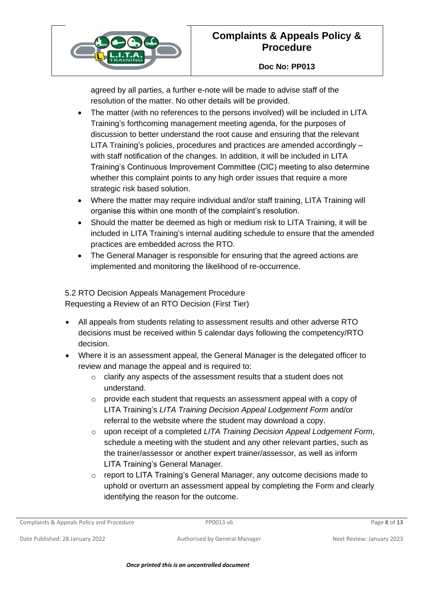

#### **Doc No: PP013**

agreed by all parties, a further e-note will be made to advise staff of the resolution of the matter. No other details will be provided.

- The matter (with no references to the persons involved) will be included in LITA Training's forthcoming management meeting agenda, for the purposes of discussion to better understand the root cause and ensuring that the relevant LITA Training's policies, procedures and practices are amended accordingly – with staff notification of the changes. In addition, it will be included in LITA Training's Continuous Improvement Committee (CIC) meeting to also determine whether this complaint points to any high order issues that require a more strategic risk based solution.
- Where the matter may require individual and/or staff training, LITA Training will organise this within one month of the complaint's resolution.
- Should the matter be deemed as high or medium risk to LITA Training, it will be included in LITA Training's internal auditing schedule to ensure that the amended practices are embedded across the RTO.
- The General Manager is responsible for ensuring that the agreed actions are implemented and monitoring the likelihood of re-occurrence.

### 5.2 RTO Decision Appeals Management Procedure Requesting a Review of an RTO Decision (First Tier)

- All appeals from students relating to assessment results and other adverse RTO decisions must be received within 5 calendar days following the competency/RTO decision.
- Where it is an assessment appeal, the General Manager is the delegated officer to review and manage the appeal and is required to:
	- o clarify any aspects of the assessment results that a student does not understand.
	- $\circ$  provide each student that requests an assessment appeal with a copy of LITA Training's *LITA Training Decision Appeal Lodgement Form* and/or referral to the website where the student may download a copy.
	- o upon receipt of a completed *LITA Training Decision Appeal Lodgement Form*, schedule a meeting with the student and any other relevant parties, such as the trainer/assessor or another expert trainer/assessor, as well as inform LITA Training's General Manager.
	- $\circ$  report to LITA Training's General Manager, any outcome decisions made to uphold or overturn an assessment appeal by completing the Form and clearly identifying the reason for the outcome.

Complaints & Appeals Policy and Procedure **PP0013** v6 Page **8** of **13** Page **8** of **13**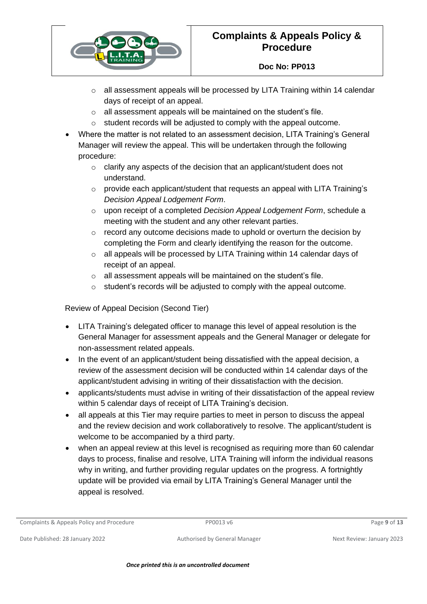

#### **Doc No: PP013**

- o all assessment appeals will be processed by LITA Training within 14 calendar days of receipt of an appeal.
- o all assessment appeals will be maintained on the student's file.
- o student records will be adjusted to comply with the appeal outcome.
- Where the matter is not related to an assessment decision, LITA Training's General Manager will review the appeal. This will be undertaken through the following procedure:
	- o clarify any aspects of the decision that an applicant/student does not understand.
	- o provide each applicant/student that requests an appeal with LITA Training's *Decision Appeal Lodgement Form*.
	- o upon receipt of a completed *Decision Appeal Lodgement Form*, schedule a meeting with the student and any other relevant parties.
	- o record any outcome decisions made to uphold or overturn the decision by completing the Form and clearly identifying the reason for the outcome.
	- o all appeals will be processed by LITA Training within 14 calendar days of receipt of an appeal.
	- o all assessment appeals will be maintained on the student's file.
	- o student's records will be adjusted to comply with the appeal outcome.

### Review of Appeal Decision (Second Tier)

- LITA Training's delegated officer to manage this level of appeal resolution is the General Manager for assessment appeals and the General Manager or delegate for non-assessment related appeals.
- In the event of an applicant/student being dissatisfied with the appeal decision, a review of the assessment decision will be conducted within 14 calendar days of the applicant/student advising in writing of their dissatisfaction with the decision.
- applicants/students must advise in writing of their dissatisfaction of the appeal review within 5 calendar days of receipt of LITA Training's decision.
- all appeals at this Tier may require parties to meet in person to discuss the appeal and the review decision and work collaboratively to resolve. The applicant/student is welcome to be accompanied by a third party.
- when an appeal review at this level is recognised as requiring more than 60 calendar days to process, finalise and resolve, LITA Training will inform the individual reasons why in writing, and further providing regular updates on the progress. A fortnightly update will be provided via email by LITA Training's General Manager until the appeal is resolved.

Complaints & Appeals Policy and Procedure **PP0013 v6** Page 9 of 13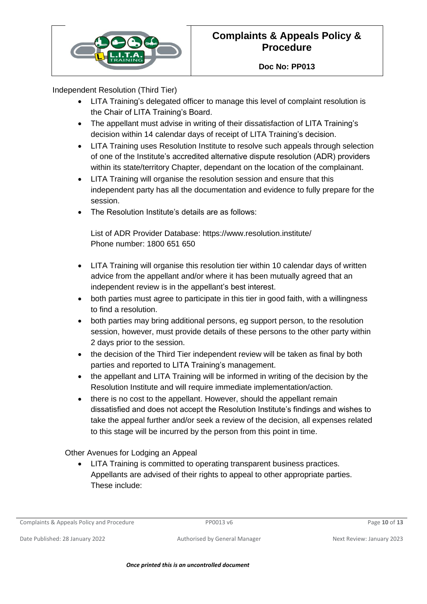

Independent Resolution (Third Tier)

- LITA Training's delegated officer to manage this level of complaint resolution is the Chair of LITA Training's Board.
- The appellant must advise in writing of their dissatisfaction of LITA Training's decision within 14 calendar days of receipt of LITA Training's decision.
- LITA Training uses Resolution Institute to resolve such appeals through selection of one of the Institute's accredited alternative dispute resolution (ADR) providers within its state/territory Chapter, dependant on the location of the complainant.
- LITA Training will organise the resolution session and ensure that this independent party has all the documentation and evidence to fully prepare for the session.
- The Resolution Institute's details are as follows:

List of ADR Provider Database:<https://www.resolution.institute/> Phone number: 1800 651 650

- LITA Training will organise this resolution tier within 10 calendar days of written advice from the appellant and/or where it has been mutually agreed that an independent review is in the appellant's best interest.
- both parties must agree to participate in this tier in good faith, with a willingness to find a resolution.
- both parties may bring additional persons, eg support person, to the resolution session, however, must provide details of these persons to the other party within 2 days prior to the session.
- the decision of the Third Tier independent review will be taken as final by both parties and reported to LITA Training's management.
- the appellant and LITA Training will be informed in writing of the decision by the Resolution Institute and will require immediate implementation/action.
- there is no cost to the appellant. However, should the appellant remain dissatisfied and does not accept the Resolution Institute's findings and wishes to take the appeal further and/or seek a review of the decision, all expenses related to this stage will be incurred by the person from this point in time.

Other Avenues for Lodging an Appeal

• LITA Training is committed to operating transparent business practices. Appellants are advised of their rights to appeal to other appropriate parties. These include:

Complaints & Appeals Policy and Procedure **PP0013** v6 Page 10 of 13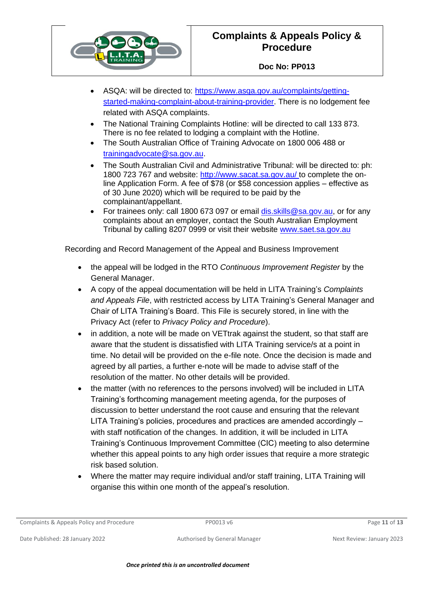

**Doc No: PP013**

- ASQA: will be directed to: [https://www.asqa.gov.au/complaints/getting](https://www.asqa.gov.au/complaints/getting-started-making-complaint-about-training-provider)[started-making-complaint-about-training-provider.](https://www.asqa.gov.au/complaints/getting-started-making-complaint-about-training-provider) There is no lodgement fee related with ASQA complaints.
- The [National Training Complaints Hotline:](https://www.education.gov.au/national-training-complaints-hotline-1) will be directed to call 133 873. There is no fee related to lodging a complaint with the Hotline.
- The South Australian Office of Training Advocate on 1800 006 488 or [trainingadvocate@sa.gov.au.](mailto:trainingadvocate@sa.gov.au)
- The South Australian Civil and Administrative Tribunal: will be directed to: ph: 1800 723 767 and website:<http://www.sacat.sa.gov.au/> to complete the online Application Form. A fee of \$78 (or \$58 concession applies – effective as of 30 June 2020) which will be required to be paid by the complainant/appellant.
- For trainees only: call 1800 673 097 or email [dis.skills@sa.gov.au,](mailto:dis.skills@sa.gov.au) or for any complaints about an employer, contact the South Australian Employment Tribunal by calling 8207 0999 or visit their website [www.saet.sa.gov.au](http://www.saet.sa.gov.au/)

Recording and Record Management of the Appeal and Business Improvement

- the appeal will be lodged in the RTO *Continuous Improvement Register* by the General Manager.
- A copy of the appeal documentation will be held in LITA Training's *Complaints and Appeals File*, with restricted access by LITA Training's General Manager and Chair of LITA Training's Board. This File is securely stored, in line with the Privacy Act (refer to *Privacy Policy and Procedure*).
- in addition, a note will be made on VETtrak against the student, so that staff are aware that the student is dissatisfied with LITA Training service/s at a point in time. No detail will be provided on the e-file note. Once the decision is made and agreed by all parties, a further e-note will be made to advise staff of the resolution of the matter. No other details will be provided.
- the matter (with no references to the persons involved) will be included in LITA Training's forthcoming management meeting agenda, for the purposes of discussion to better understand the root cause and ensuring that the relevant LITA Training's policies, procedures and practices are amended accordingly – with staff notification of the changes. In addition, it will be included in LITA Training's Continuous Improvement Committee (CIC) meeting to also determine whether this appeal points to any high order issues that require a more strategic risk based solution.
- Where the matter may require individual and/or staff training, LITA Training will organise this within one month of the appeal's resolution.

Complaints & Appeals Policy and Procedure **PP0013** v6 Page 11 of 13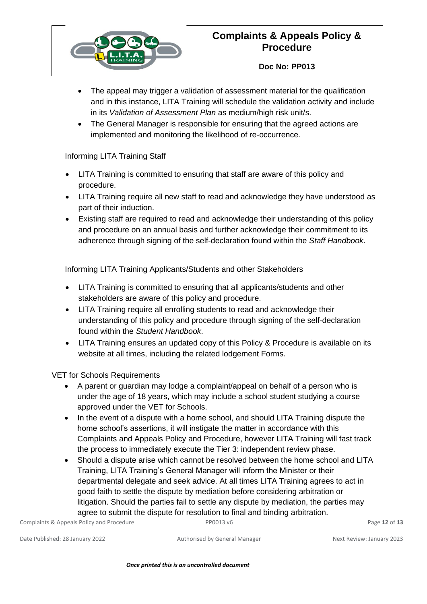

### **Doc No: PP013**

- The appeal may trigger a validation of assessment material for the qualification and in this instance, LITA Training will schedule the validation activity and include in its *Validation of Assessment Plan* as medium/high risk unit/s.
- The General Manager is responsible for ensuring that the agreed actions are implemented and monitoring the likelihood of re-occurrence.

### Informing LITA Training Staff

- LITA Training is committed to ensuring that staff are aware of this policy and procedure.
- LITA Training require all new staff to read and acknowledge they have understood as part of their induction.
- Existing staff are required to read and acknowledge their understanding of this policy and procedure on an annual basis and further acknowledge their commitment to its adherence through signing of the self-declaration found within the *Staff Handbook*.

Informing LITA Training Applicants/Students and other Stakeholders

- LITA Training is committed to ensuring that all applicants/students and other stakeholders are aware of this policy and procedure.
- LITA Training require all enrolling students to read and acknowledge their understanding of this policy and procedure through signing of the self-declaration found within the *Student Handbook*.
- LITA Training ensures an updated copy of this Policy & Procedure is available on its website at all times, including the related lodgement Forms.

### VET for Schools Requirements

- A parent or guardian may lodge a complaint/appeal on behalf of a person who is under the age of 18 years, which may include a school student studying a course approved under the VET for Schools.
- In the event of a dispute with a home school, and should LITA Training dispute the home school's assertions, it will instigate the matter in accordance with this Complaints and Appeals Policy and Procedure, however LITA Training will fast track the process to immediately execute the Tier 3: independent review phase.
- Should a dispute arise which cannot be resolved between the home school and LITA Training, LITA Training's General Manager will inform the Minister or their departmental delegate and seek advice. At all times LITA Training agrees to act in good faith to settle the dispute by mediation before considering arbitration or litigation. Should the parties fail to settle any dispute by mediation, the parties may agree to submit the dispute for resolution to final and binding arbitration.

| Complaints & Appeals Policy and Procedure | PP0013 v6 | Page 12 of 13 |
|-------------------------------------------|-----------|---------------|
|                                           |           |               |